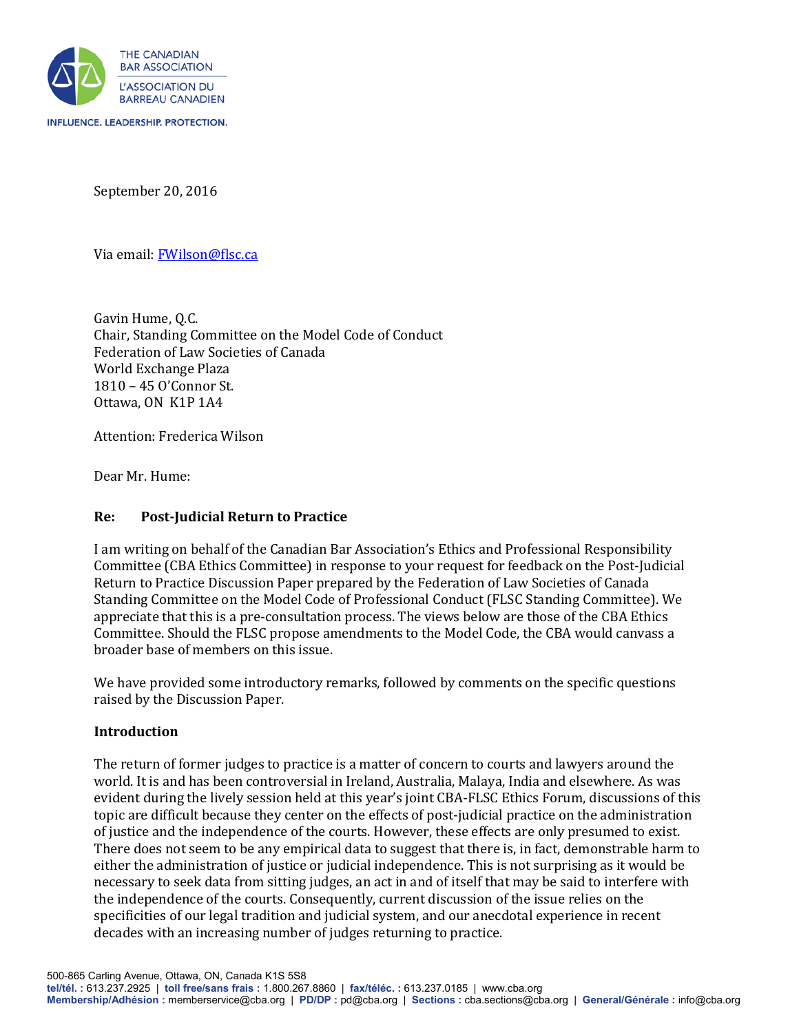

September 20, 2016

Via email: [FWilson@flsc.ca](mailto:FWilson@flsc.ca)

Gavin Hume, Q.C. Chair, Standing Committee on the Model Code of Conduct Federation of Law Societies of Canada World Exchange Plaza 1810 – 45 O'Connor St. Ottawa, ON K1P 1A4

Attention: Frederica Wilson

Dear Mr. Hume:

### **Re: Post-Judicial Return to Practice**

I am writing on behalf of the Canadian Bar Association's Ethics and Professional Responsibility Committee (CBA Ethics Committee) in response to your request for feedback on the Post-Judicial Return to Practice Discussion Paper prepared by the Federation of Law Societies of Canada Standing Committee on the Model Code of Professional Conduct (FLSC Standing Committee). We appreciate that this is a pre-consultation process. The views below are those of the CBA Ethics Committee. Should the FLSC propose amendments to the Model Code, the CBA would canvass a broader base of members on this issue.

We have provided some introductory remarks, followed by comments on the specific questions raised by the Discussion Paper.

### **Introduction**

The return of former judges to practice is a matter of concern to courts and lawyers around the world. It is and has been controversial in Ireland, Australia, Malaya, India and elsewhere. As was evident during the lively session held at this year's joint CBA-FLSC Ethics Forum, discussions of this topic are difficult because they center on the effects of post-judicial practice on the administration of justice and the independence of the courts. However, these effects are only presumed to exist. There does not seem to be any empirical data to suggest that there is, in fact, demonstrable harm to either the administration of justice or judicial independence. This is not surprising as it would be necessary to seek data from sitting judges, an act in and of itself that may be said to interfere with the independence of the courts. Consequently, current discussion of the issue relies on the specificities of our legal tradition and judicial system, and our anecdotal experience in recent decades with an increasing number of judges returning to practice.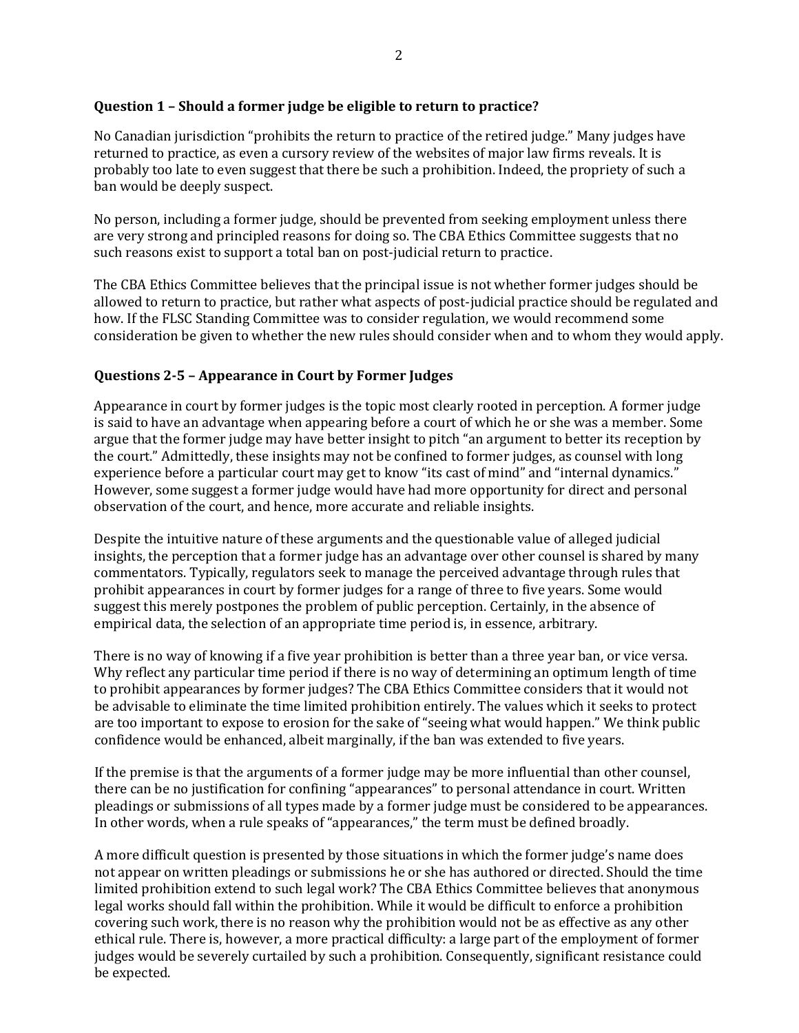## **Question 1 – Should a former judge be eligible to return to practice?**

No Canadian jurisdiction "prohibits the return to practice of the retired judge." Many judges have returned to practice, as even a cursory review of the websites of major law firms reveals. It is probably too late to even suggest that there be such a prohibition. Indeed, the propriety of such a ban would be deeply suspect.

No person, including a former judge, should be prevented from seeking employment unless there are very strong and principled reasons for doing so. The CBA Ethics Committee suggests that no such reasons exist to support a total ban on post-judicial return to practice.

The CBA Ethics Committee believes that the principal issue is not whether former judges should be allowed to return to practice, but rather what aspects of post-judicial practice should be regulated and how. If the FLSC Standing Committee was to consider regulation, we would recommend some consideration be given to whether the new rules should consider when and to whom they would apply.

# **Questions 2-5 – Appearance in Court by Former Judges**

Appearance in court by former judges is the topic most clearly rooted in perception. A former judge is said to have an advantage when appearing before a court of which he or she was a member. Some argue that the former judge may have better insight to pitch "an argument to better its reception by the court." Admittedly, these insights may not be confined to former judges, as counsel with long experience before a particular court may get to know "its cast of mind" and "internal dynamics." However, some suggest a former judge would have had more opportunity for direct and personal observation of the court, and hence, more accurate and reliable insights.

Despite the intuitive nature of these arguments and the questionable value of alleged judicial insights, the perception that a former judge has an advantage over other counsel is shared by many commentators. Typically, regulators seek to manage the perceived advantage through rules that prohibit appearances in court by former judges for a range of three to five years. Some would suggest this merely postpones the problem of public perception. Certainly, in the absence of empirical data, the selection of an appropriate time period is, in essence, arbitrary.

There is no way of knowing if a five year prohibition is better than a three year ban, or vice versa. Why reflect any particular time period if there is no way of determining an optimum length of time to prohibit appearances by former judges? The CBA Ethics Committee considers that it would not be advisable to eliminate the time limited prohibition entirely. The values which it seeks to protect are too important to expose to erosion for the sake of "seeing what would happen." We think public confidence would be enhanced, albeit marginally, if the ban was extended to five years.

If the premise is that the arguments of a former judge may be more influential than other counsel, there can be no justification for confining "appearances" to personal attendance in court. Written pleadings or submissions of all types made by a former judge must be considered to be appearances. In other words, when a rule speaks of "appearances," the term must be defined broadly.

A more difficult question is presented by those situations in which the former judge's name does not appear on written pleadings or submissions he or she has authored or directed. Should the time limited prohibition extend to such legal work? The CBA Ethics Committee believes that anonymous legal works should fall within the prohibition. While it would be difficult to enforce a prohibition covering such work, there is no reason why the prohibition would not be as effective as any other ethical rule. There is, however, a more practical difficulty: a large part of the employment of former judges would be severely curtailed by such a prohibition. Consequently, significant resistance could be expected.